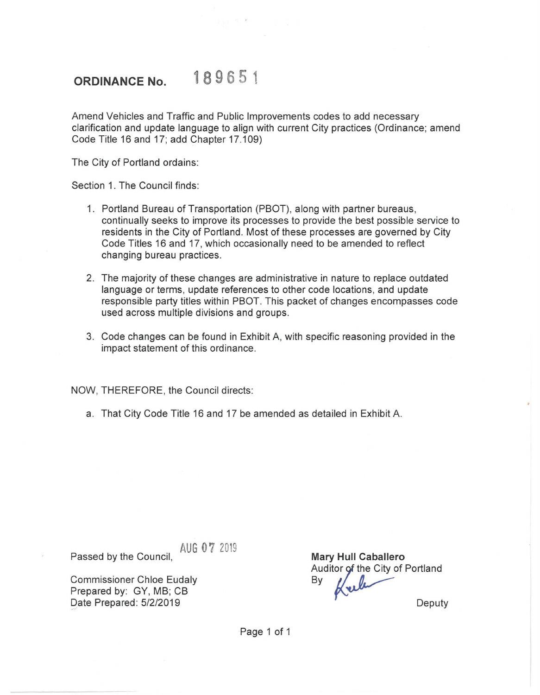## **ORDINANCE No.** 189 651

Amend Vehicles and Traffic and Public Improvements codes to add necessary clarification and update language to align with current City practices (Ordinance; amend Code Title 16 and 17; add Chapter 17 .109)

The City of Portland ordains:

Section 1. The Council finds:

- 1. Portland Bureau of Transportation (PBOT), along with partner bureaus, continually seeks to improve its processes to provide the best possible service to residents in the City of Portland. Most of these processes are governed by City Code Titles 16 and 17, which occasionally need to be amended to reflect changing bureau practices.
- 2. The majority of these changes are administrative in nature to replace outdated language or terms, update references to other code locations, and update responsible party titles within PBOT. This packet of changes encompasses code used across multiple divisions and groups.
- 3. Code changes can be found in Exhibit A, with specific reasoning provided in the impact statement of this ordinance.

NOW, THEREFORE, the Council directs:

a. That City Code Title 16 and 17 be amended as detailed in Exhibit A.

AUG 07 2019 Passed by the Council,

Commissioner Chloe Eudaly Prepared by: GY, MB; CB Date Prepared: 5/2/2019

**Mary Hull Caballero**  Mary Hull Caballero<br>Auditor of the City of Portland Auditor of the City of **Deputy** 

Page 1 of 1